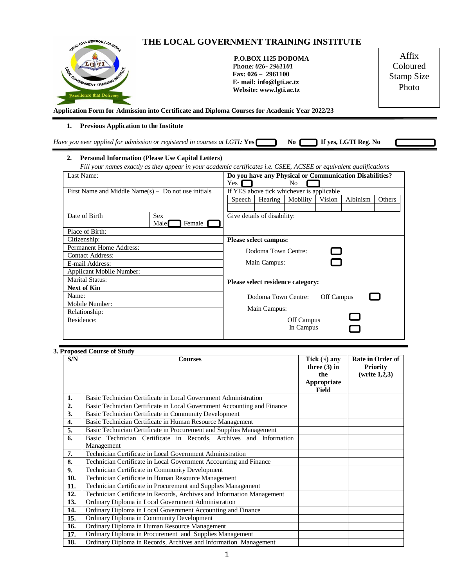

**Application Form for Admission into Certificate and Diploma Courses for Academic Year 2022/23**

## **1. Previous Application to the Institute**

| Have you ever applied for admission or registered in courses at LGTI: $\text{Yes}$ $\blacksquare$ |  | No <b>Fig. 15</b> If yes, LGTI Reg. No |  |
|---------------------------------------------------------------------------------------------------|--|----------------------------------------|--|
|                                                                                                   |  |                                        |  |
|                                                                                                   |  |                                        |  |

## **2. Personal Information (Please Use Capital Letters)**

*Fill your names exactly as they appear in your academic certificates i.e. CSEE, ACSEE or equivalent qualifications*

| Last Name:                                             | Do you have any Physical or Communication Disabilities? |                                   |                             |        |            |        |  |
|--------------------------------------------------------|---------------------------------------------------------|-----------------------------------|-----------------------------|--------|------------|--------|--|
|                                                        | Yes                                                     |                                   | N <sub>0</sub>              |        |            |        |  |
| First Name and Middle Name $(s)$ – Do not use initials | If YES above tick whichever is applicable               |                                   |                             |        |            |        |  |
|                                                        | Speech                                                  | Hearing                           | Mobility                    | Vision | Albinism   | Others |  |
|                                                        |                                                         |                                   |                             |        |            |        |  |
| Date of Birth                                          | Sex                                                     |                                   | Give details of disability: |        |            |        |  |
|                                                        | Female  <br>Male                                        |                                   |                             |        |            |        |  |
| Place of Birth:                                        |                                                         |                                   |                             |        |            |        |  |
| Citizenship:                                           |                                                         | <b>Please select campus:</b>      |                             |        |            |        |  |
| <b>Permanent Home Address:</b>                         |                                                         | Dodoma Town Centre:<br>$\Box$     |                             |        |            |        |  |
| <b>Contact Address:</b>                                |                                                         |                                   |                             |        |            |        |  |
| E-mail Address:                                        |                                                         | Main Campus:                      |                             |        |            |        |  |
| <b>Applicant Mobile Number:</b>                        |                                                         |                                   |                             |        |            |        |  |
| <b>Marital Status:</b>                                 |                                                         | Please select residence category: |                             |        |            |        |  |
| <b>Next of Kin</b>                                     |                                                         |                                   |                             |        |            |        |  |
| Name:                                                  |                                                         |                                   | Dodoma Town Centre:         |        | Off Campus |        |  |
| Mobile Number:                                         |                                                         |                                   |                             |        |            |        |  |
| Relationship:                                          | Main Campus:                                            |                                   |                             |        |            |        |  |
| Residence:                                             |                                                         | Off Campus                        |                             |        |            |        |  |
|                                                        |                                                         | In Campus                         |                             |        |            |        |  |
|                                                        |                                                         |                                   |                             |        |            |        |  |

## **3. Proposed Course of Study**

| S/N | TToposca Course of Staay<br><b>Courses</b>                              | Tick $(\forall)$ any<br>three $(3)$ in<br>the | Rate in Order of<br><b>Priority</b><br>(write 1,2,3) |
|-----|-------------------------------------------------------------------------|-----------------------------------------------|------------------------------------------------------|
|     |                                                                         | Appropriate<br><b>Field</b>                   |                                                      |
| 1.  | Basic Technician Certificate in Local Government Administration         |                                               |                                                      |
| 2.  | Basic Technician Certificate in Local Government Accounting and Finance |                                               |                                                      |
| 3.  | Basic Technician Certificate in Community Development                   |                                               |                                                      |
| 4.  | Basic Technician Certificate in Human Resource Management               |                                               |                                                      |
| 5.  | Basic Technician Certificate in Procurement and Supplies Management     |                                               |                                                      |
| 6.  | Basic Technician Certificate in Records, Archives and Information       |                                               |                                                      |
|     | Management                                                              |                                               |                                                      |
| 7.  | Technician Certificate in Local Government Administration               |                                               |                                                      |
| 8.  | Technician Certificate in Local Government Accounting and Finance       |                                               |                                                      |
| 9.  | Technician Certificate in Community Development                         |                                               |                                                      |
| 10. | Technician Certificate in Human Resource Management                     |                                               |                                                      |
| 11. | Technician Certificate in Procurement and Supplies Management           |                                               |                                                      |
| 12. | Technician Certificate in Records, Archives and Information Management  |                                               |                                                      |
| 13. | Ordinary Diploma in Local Government Administration                     |                                               |                                                      |
| 14. | Ordinary Diploma in Local Government Accounting and Finance             |                                               |                                                      |
| 15. | Ordinary Diploma in Community Development                               |                                               |                                                      |
| 16. | Ordinary Diploma in Human Resource Management                           |                                               |                                                      |
| 17. | Ordinary Diploma in Procurement and Supplies Management                 |                                               |                                                      |
| 18. | Ordinary Diploma in Records, Archives and Information Management        |                                               |                                                      |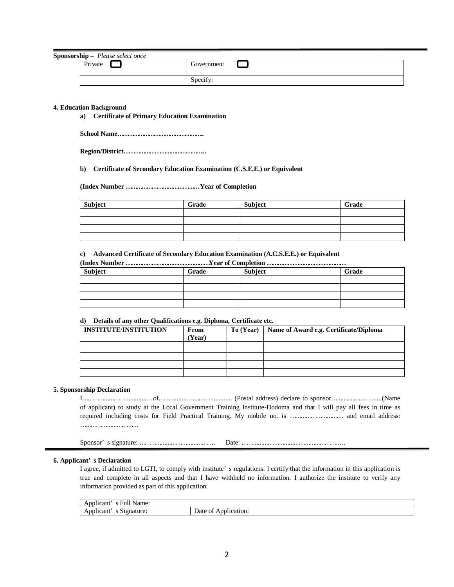**Sponsorship –** *Please select once*

| $\mathbf{n}$ sinp $\mathbf{r}$ rease select once<br>Private | Government                 |
|-------------------------------------------------------------|----------------------------|
|                                                             | $\cdot$ $\sim$<br>Specify: |

### **4. Education Background**

**a) Certificate of Primary Education Examination** 

**School Name…………………………………………..**

**Region/District………………………………………...**

**b) Certificate of Secondary Education Examination (C.S.E.E.) or Equivalent** 

**(Index Number …………………………………… Year of Completion**

| Subject | Grade | Subject | Grade |
|---------|-------|---------|-------|
|         |       |         |       |
|         |       |         |       |
|         |       |         |       |
|         |       |         |       |

#### **c) Advanced Certificate of Secondary Education Examination (A.C.S.E.E.) or Equivalent**

| (Index Number Year of Completion |       |                |       |  |
|----------------------------------|-------|----------------|-------|--|
| Subject                          | Grade | <b>Subject</b> | Grade |  |
|                                  |       |                |       |  |
|                                  |       |                |       |  |
|                                  |       |                |       |  |
|                                  |       |                |       |  |

#### **d) Details of any other Qualifications e.g. Diploma, Certificate etc.**

| <b>INSTITUTE/INSTITUTION</b> | From<br>Year) | To (Year) | Name of Award e.g. Certificate/Diploma |
|------------------------------|---------------|-----------|----------------------------------------|
|                              |               |           |                                        |
|                              |               |           |                                        |
|                              |               |           |                                        |
|                              |               |           |                                        |

### **5. Sponsorship Declaration**

I………………………………..…of……………..………….............. (Postal address) declare to sponsor……….……………… (Name of applicant) to study at the Local Government Training Institute-Dodoma and that I will pay all fees in time as required including costs for Field Practical Training. My mobile no. is …………………………. and email address: ……………………………

Sponsor' s signature: …………………………………….. Date: …………………………………………………...

## **6. Applicant' s Declaration**

I agree, if admitted to LGTI, to comply with institute' s regulations. I certify that the information in this application is true and complete in all aspects and that I have withheld no information. I authorize the institute to verify any information provided as part of this application.

| $\sim$ $\sim$<br>Name:<br>n nn<br>plicant<br>-Ful.<br>$\cdot$      |                                               |
|--------------------------------------------------------------------|-----------------------------------------------|
| -<br>Anr<br>≀nature:<br>blicant<br><b>COMPANY</b><br>$\sim$<br>7 L | Annl <sup>+</sup><br>Date<br>plication.<br>ΟĪ |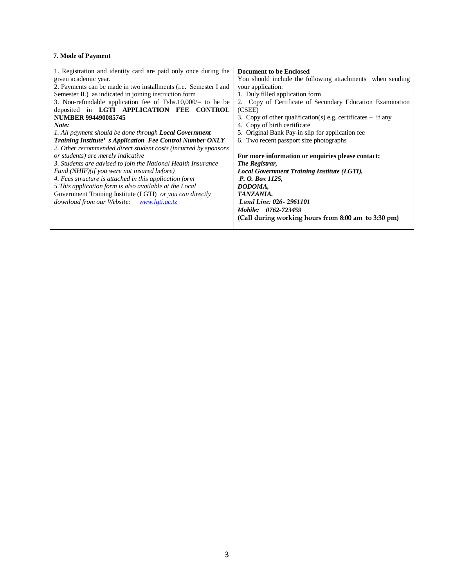# **7. Mode of Payment**

| 1. Registration and identity card are paid only once during the  | <b>Document to be Enclosed</b>                                 |
|------------------------------------------------------------------|----------------------------------------------------------------|
| given academic year.                                             | You should include the following attachments when sending      |
| 2. Payments can be made in two installments (i.e. Semester I and | your application:                                              |
| Semester II.) as indicated in joining instruction form           | 1. Duly filled application form                                |
| 3. Non-refundable application fee of Tshs.10,000/ $=$ to be be   | 2. Copy of Certificate of Secondary Education Examination      |
| deposited in LGTI APPLICATION FEE CONTROL                        | (CSEE)                                                         |
| <b>NUMBER 994490085745</b>                                       | 3. Copy of other qualification(s) e.g. certificates $-$ if any |
| Note:                                                            | 4. Copy of birth certificate                                   |
| 1. All payment should be done through <b>Local Government</b>    | 5. Original Bank Pay-in slip for application fee.              |
| <b>Training Institute's Application Fee Control Number ONLY</b>  | 6. Two recent passport size photographs                        |
| 2. Other recommended direct student costs (incurred by sponsors  |                                                                |
| or students) are merely indicative                               | For more information or enquiries please contact:              |
| 3. Students are advised to join the National Health Insurance    | The Registrar,                                                 |
| Fund (NHIF)(if you were not insured before)                      | <b>Local Government Training Institute (LGTI),</b>             |
| 4. Fees structure is attached in this application form           | P. O. Box 1125,                                                |
| 5. This application form is also available at the Local          | DODOMA,                                                        |
| Government Training Institute (LGTI) or you can directly         | TANZANIA.                                                      |
| download from our Website:<br>www.lgti.ac.tz                     | Land Line: 026-2961101                                         |
|                                                                  | Mobile: 0762-723459                                            |
|                                                                  | (Call during working hours from 8:00 am to 3:30 pm)            |
|                                                                  |                                                                |